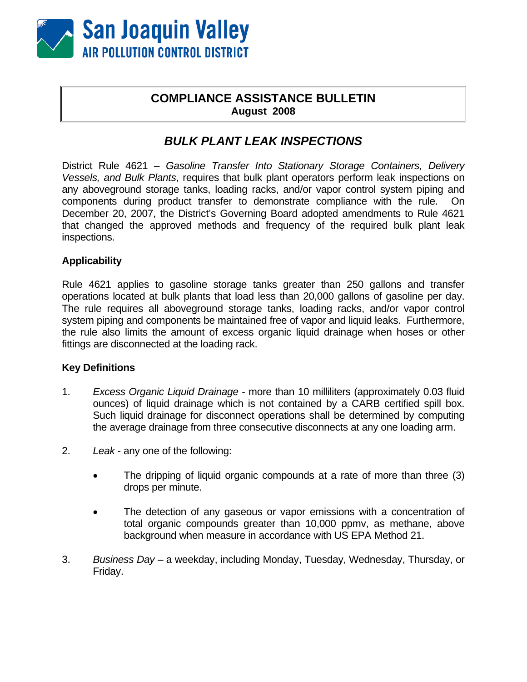

# **COMPLIANCE ASSISTANCE BULLETIN August 2008**

# *BULK PLANT LEAK INSPECTIONS*

District Rule 4621 – *Gasoline Transfer Into Stationary Storage Containers, Delivery Vessels, and Bulk Plants*, requires that bulk plant operators perform leak inspections on any aboveground storage tanks, loading racks, and/or vapor control system piping and components during product transfer to demonstrate compliance with the rule. On December 20, 2007, the District's Governing Board adopted amendments to Rule 4621 that changed the approved methods and frequency of the required bulk plant leak inspections.

## **Applicability**

Rule 4621 applies to gasoline storage tanks greater than 250 gallons and transfer operations located at bulk plants that load less than 20,000 gallons of gasoline per day. The rule requires all aboveground storage tanks, loading racks, and/or vapor control system piping and components be maintained free of vapor and liquid leaks. Furthermore, the rule also limits the amount of excess organic liquid drainage when hoses or other fittings are disconnected at the loading rack.

## **Key Definitions**

- 1. *Excess Organic Liquid Drainage* more than 10 milliliters (approximately 0.03 fluid ounces) of liquid drainage which is not contained by a CARB certified spill box. Such liquid drainage for disconnect operations shall be determined by computing the average drainage from three consecutive disconnects at any one loading arm.
- 2. *Leak* any one of the following:
	- The dripping of liquid organic compounds at a rate of more than three (3) drops per minute.
	- The detection of any gaseous or vapor emissions with a concentration of total organic compounds greater than 10,000 ppmv, as methane, above background when measure in accordance with US EPA Method 21.
- 3. *Business Day* a weekday, including Monday, Tuesday, Wednesday, Thursday, or Friday.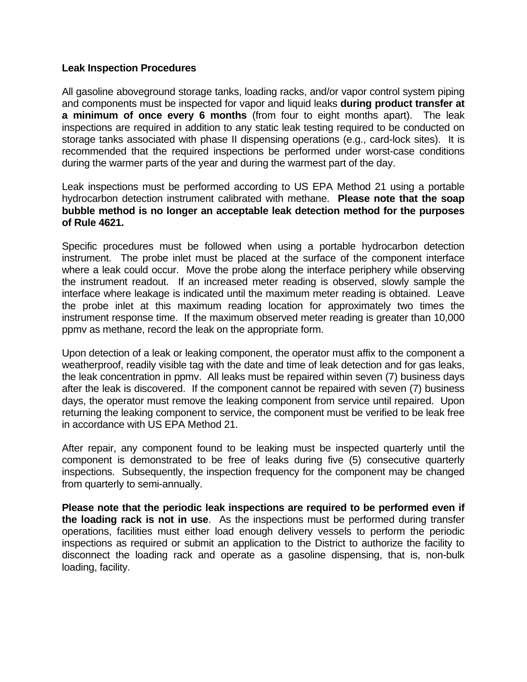#### **Leak Inspection Procedures**

All gasoline aboveground storage tanks, loading racks, and/or vapor control system piping and components must be inspected for vapor and liquid leaks **during product transfer at a minimum of once every 6 months** (from four to eight months apart). The leak inspections are required in addition to any static leak testing required to be conducted on storage tanks associated with phase II dispensing operations (e.g., card-lock sites). It is recommended that the required inspections be performed under worst-case conditions during the warmer parts of the year and during the warmest part of the day.

Leak inspections must be performed according to US EPA Method 21 using a portable hydrocarbon detection instrument calibrated with methane. **Please note that the soap bubble method is no longer an acceptable leak detection method for the purposes of Rule 4621.** 

Specific procedures must be followed when using a portable hydrocarbon detection instrument. The probe inlet must be placed at the surface of the component interface where a leak could occur. Move the probe along the interface periphery while observing the instrument readout. If an increased meter reading is observed, slowly sample the interface where leakage is indicated until the maximum meter reading is obtained. Leave the probe inlet at this maximum reading location for approximately two times the instrument response time. If the maximum observed meter reading is greater than 10,000 ppmv as methane, record the leak on the appropriate form.

Upon detection of a leak or leaking component, the operator must affix to the component a weatherproof, readily visible tag with the date and time of leak detection and for gas leaks, the leak concentration in ppmv. All leaks must be repaired within seven (7) business days after the leak is discovered. If the component cannot be repaired with seven (7) business days, the operator must remove the leaking component from service until repaired. Upon returning the leaking component to service, the component must be verified to be leak free in accordance with US EPA Method 21.

After repair, any component found to be leaking must be inspected quarterly until the component is demonstrated to be free of leaks during five (5) consecutive quarterly inspections. Subsequently, the inspection frequency for the component may be changed from quarterly to semi-annually.

**Please note that the periodic leak inspections are required to be performed even if the loading rack is not in use**. As the inspections must be performed during transfer operations, facilities must either load enough delivery vessels to perform the periodic inspections as required or submit an application to the District to authorize the facility to disconnect the loading rack and operate as a gasoline dispensing, that is, non-bulk loading, facility.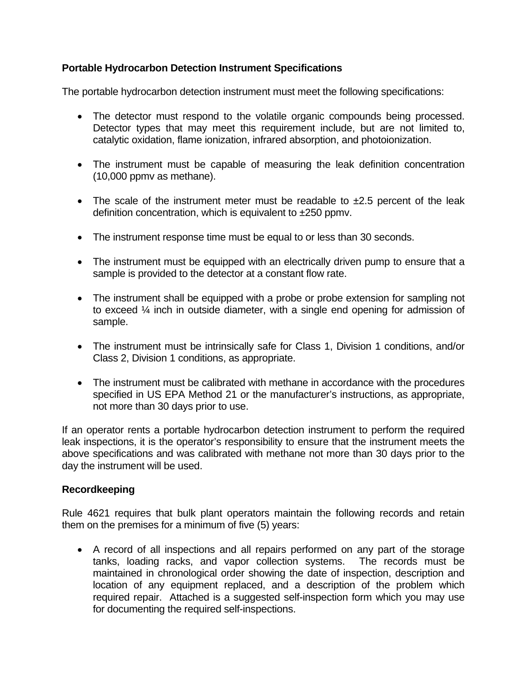# **Portable Hydrocarbon Detection Instrument Specifications**

The portable hydrocarbon detection instrument must meet the following specifications:

- The detector must respond to the volatile organic compounds being processed. Detector types that may meet this requirement include, but are not limited to, catalytic oxidation, flame ionization, infrared absorption, and photoionization.
- The instrument must be capable of measuring the leak definition concentration (10,000 ppmv as methane).
- The scale of the instrument meter must be readable to  $\pm 2.5$  percent of the leak definition concentration, which is equivalent to ±250 ppmv.
- The instrument response time must be equal to or less than 30 seconds.
- The instrument must be equipped with an electrically driven pump to ensure that a sample is provided to the detector at a constant flow rate.
- The instrument shall be equipped with a probe or probe extension for sampling not to exceed ¼ inch in outside diameter, with a single end opening for admission of sample.
- The instrument must be intrinsically safe for Class 1, Division 1 conditions, and/or Class 2, Division 1 conditions, as appropriate.
- The instrument must be calibrated with methane in accordance with the procedures specified in US EPA Method 21 or the manufacturer's instructions, as appropriate, not more than 30 days prior to use.

If an operator rents a portable hydrocarbon detection instrument to perform the required leak inspections, it is the operator's responsibility to ensure that the instrument meets the above specifications and was calibrated with methane not more than 30 days prior to the day the instrument will be used.

## **Recordkeeping**

Rule 4621 requires that bulk plant operators maintain the following records and retain them on the premises for a minimum of five (5) years:

• A record of all inspections and all repairs performed on any part of the storage tanks, loading racks, and vapor collection systems. The records must be maintained in chronological order showing the date of inspection, description and location of any equipment replaced, and a description of the problem which required repair. Attached is a suggested self-inspection form which you may use for documenting the required self-inspections.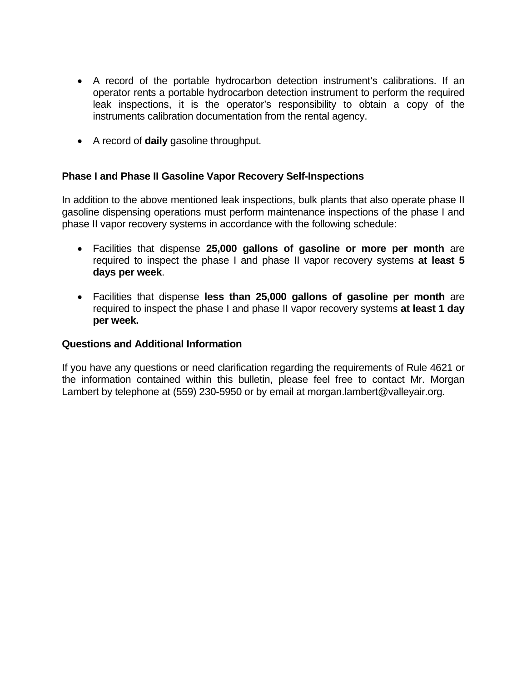- A record of the portable hydrocarbon detection instrument's calibrations. If an operator rents a portable hydrocarbon detection instrument to perform the required leak inspections, it is the operator's responsibility to obtain a copy of the instruments calibration documentation from the rental agency.
- A record of **daily** gasoline throughput.

## **Phase I and Phase II Gasoline Vapor Recovery Self-Inspections**

In addition to the above mentioned leak inspections, bulk plants that also operate phase II gasoline dispensing operations must perform maintenance inspections of the phase I and phase II vapor recovery systems in accordance with the following schedule:

- Facilities that dispense **25,000 gallons of gasoline or more per month** are required to inspect the phase I and phase II vapor recovery systems **at least 5 days per week**.
- Facilities that dispense **less than 25,000 gallons of gasoline per month** are required to inspect the phase I and phase II vapor recovery systems **at least 1 day per week.**

#### **Questions and Additional Information**

If you have any questions or need clarification regarding the requirements of Rule 4621 or the information contained within this bulletin, please feel free to contact Mr. Morgan Lambert by telephone at (559) 230-5950 or by email at morgan.lambert@valleyair.org.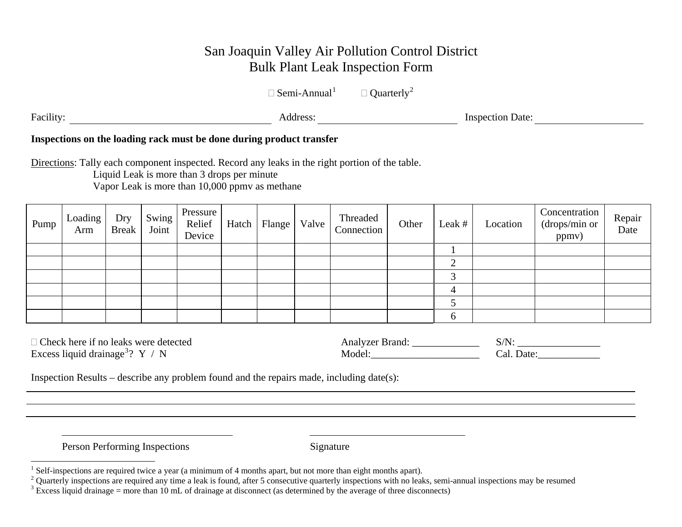# San Joaquin Valley Air Pollution Control District Bulk Plant Leak Inspection Form

 $\Box$  Semi-Annual<sup>[1](#page-4-0)</sup>  $\Box$  Quarterly<sup>[2](#page-4-1)</sup>

Facility: Manual Address: Address: Manual Address: Manual Address: Manual Address: Manual Address: Manual Address: Manual Address: Manual Address: Manual Address: Manual Address: Manual Address: Manual Address: Manual Addr

# **Inspections on the loading rack must be done during product transfer**

Directions: Tally each component inspected. Record any leaks in the right portion of the table.

Liquid Leak is more than 3 drops per minute Vapor Leak is more than 10,000 ppmv as methane

| Pump | Loading<br>Arm | Dry<br><b>Break</b> | Swing<br>Joint | Pressure<br>Relief<br>Device | Hatch | Flange | Valve | Threaded<br>Connection | Other | Leak # | Location | Concentration<br>(drops/min or<br>ppmv) | Repair<br>Date |
|------|----------------|---------------------|----------------|------------------------------|-------|--------|-------|------------------------|-------|--------|----------|-----------------------------------------|----------------|
|      |                |                     |                |                              |       |        |       |                        |       |        |          |                                         |                |
|      |                |                     |                |                              |       |        |       |                        |       | ⌒<br>↩ |          |                                         |                |
|      |                |                     |                |                              |       |        |       |                        |       | ⌒      |          |                                         |                |
|      |                |                     |                |                              |       |        |       |                        |       |        |          |                                         |                |
|      |                |                     |                |                              |       |        |       |                        |       |        |          |                                         |                |
|      |                |                     |                |                              |       |        |       |                        |       | 6      |          |                                         |                |

| $\Box$ Check here if no leaks were detected   | Analyzer Brand: |            |
|-----------------------------------------------|-----------------|------------|
| Excess liquid drainage <sup>3</sup> ? $Y / N$ | Model:          | ∵al. Date. |

Inspection Results – describe any problem found and the repairs made, including date(s):

Person Performing Inspections Signature

<sup>&</sup>lt;sup>1</sup> Self-inspections are required twice a year (a minimum of 4 months apart, but not more than eight months apart).

<span id="page-4-1"></span><span id="page-4-0"></span><sup>&</sup>lt;sup>2</sup> Quarterly inspections are required any time a leak is found, after 5 consecutive quarterly inspections with no leaks, semi-annual inspections may be resumed  $\frac{3}{3}$  Excess liquid drainage = more than 10 mL of draina

<span id="page-4-2"></span>